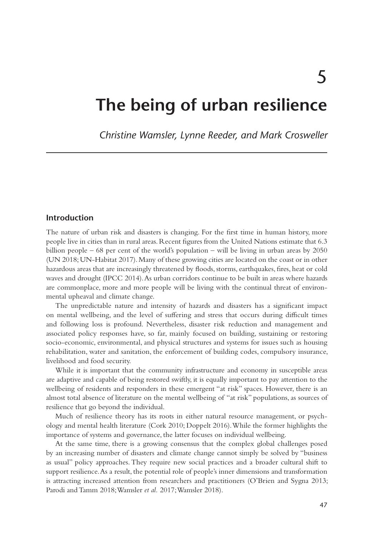# **The being of urban resilience**

*Christine Wamsler, Lynne Reeder, and Mark Crosweller*

## **Introduction**

The nature of urban risk and disasters is changing. For the first time in human history, more people live in cities than in rural areas. Recent figures from the United Nations estimate that 6.3 billion people – 68 per cent of the world's population – will be living in urban areas by  $2050$ (UN 2018; UN-Habitat 2017). Many of these growing cities are located on the coast or in other hazardous areas that are increasingly threatened by floods, storms, earthquakes, fires, heat or cold waves and drought (IPCC 2014). As urban corridors continue to be built in areas where hazards are commonplace, more and more people will be living with the continual threat of environmental upheaval and climate change.

The unpredictable nature and intensity of hazards and disasters has a significant impact on mental wellbeing, and the level of suffering and stress that occurs during difficult times and following loss is profound. Nevertheless, disaster risk reduction and management and associated policy responses have, so far, mainly focused on building, sustaining or restoring socio-economic, environmental, and physical structures and systems for issues such as housing rehabilitation, water and sanitation, the enforcement of building codes, compulsory insurance, livelihood and food security.

While it is important that the community infrastructure and economy in susceptible areas are adaptive and capable of being restored swiftly, it is equally important to pay attention to the wellbeing of residents and responders in these emergent "at risk" spaces. However, there is an almost total absence of literature on the mental wellbeing of "at risk" populations, as sources of resilience that go beyond the individual.

Much of resilience theory has its roots in either natural resource management, or psychology and mental health literature (Cork 2010; Doppelt 2016). While the former highlights the importance of systems and governance, the latter focuses on individual wellbeing.

At the same time, there is a growing consensus that the complex global challenges posed by an increasing number of disasters and climate change cannot simply be solved by "business as usual" policy approaches. They require new social practices and a broader cultural shift to support resilience. As a result, the potential role of people's inner dimensions and transformation is attracting increased attention from researchers and practitioners (O'Brien and Sygna 2013; Parodi and Tamm 2018; Wamsler *et al.* 2017; Wamsler 2018).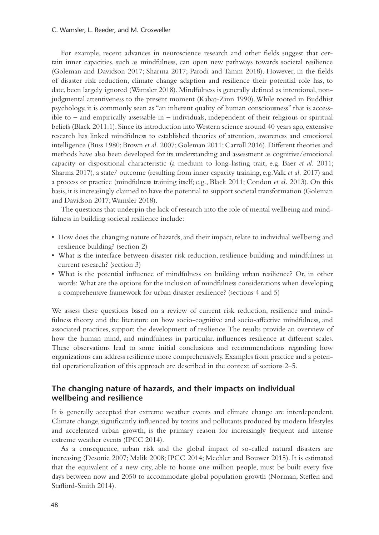#### C. Wamsler, L. Reeder, and M. Crosweller

For example, recent advances in neuroscience research and other fields suggest that certain inner capacities, such as mindfulness, can open new pathways towards societal resilience (Goleman and Davidson 2017; Sharma 2017; Parodi and Tamm 2018). However, in the fields of disaster risk reduction, climate change adaption and resilience their potential role has, to date, been largely ignored (Wamsler 2018). Mindfulness is generally defined as intentional, nonjudgmental attentiveness to the present moment (Kabat-Zinn 1990). While rooted in Buddhist psychology, it is commonly seen as "an inherent quality of human consciousness" that is accessible to  $-$  and empirically assessable in  $-$  individuals, independent of their religious or spiritual beliefs (Black 2011:1). Since its introduction into Western science around 40 years ago, extensive research has linked mindfulness to established theories of attention, awareness and emotional intelligence (Buss 1980; Brown *et al.* 2007; Goleman 2011; Carroll 2016). Different theories and methods have also been developed for its understanding and assessment as cognitive/emotional capacity or dispositional characteristic (a medium to long-lasting trait, e.g. Baer *et al.* 2011; Sharma 2017), a state/ outcome (resulting from inner capacity training, e.g. Valk *et al.* 2017) and a process or practice (mindfulness training itself; e.g., Black 2011; Condon *et al.* 2013). On this basis, it is increasingly claimed to have the potential to support societal transformation (Goleman and Davidson 2017; Wamsler 2018).

The questions that underpin the lack of research into the role of mental wellbeing and mindfulness in building societal resilience include:

- How does the changing nature of hazards, and their impact, relate to individual wellbeing and resilience building? (section 2)
- What is the interface between disaster risk reduction, resilience building and mindfulness in current research? (section 3)
- What is the potential influence of mindfulness on building urban resilience? Or, in other words: What are the options for the inclusion of mindfulness considerations when developing a comprehensive framework for urban disaster resilience? (sections 4 and 5)

We assess these questions based on a review of current risk reduction, resilience and mindfulness theory and the literature on how socio-cognitive and socio-affective mindfulness, and associated practices, support the development of resilience. The results provide an overview of how the human mind, and mindfulness in particular, influences resilience at different scales. These observations lead to some initial conclusions and recommendations regarding how organizations can address resilience more comprehensively. Examples from practice and a potential operationalization of this approach are described in the context of sections 2–5.

# **The changing nature of hazards, and their impacts on individual wellbeing and resilience**

It is generally accepted that extreme weather events and climate change are interdependent. Climate change, significantly influenced by toxins and pollutants produced by modern lifestyles and accelerated urban growth, is the primary reason for increasingly frequent and intense extreme weather events (IPCC 2014).

As a consequence, urban risk and the global impact of so-called natural disasters are increasing (Desonie 2007; Malik 2008; IPCC 2014; Mechler and Bouwer 2015). It is estimated that the equivalent of a new city, able to house one million people, must be built every five days between now and 2050 to accommodate global population growth (Norman, Steffen and Stafford-Smith 2014).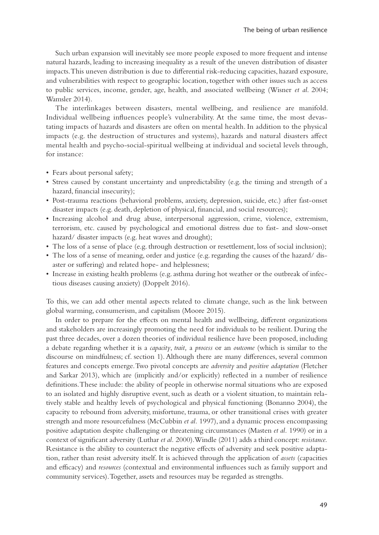Such urban expansion will inevitably see more people exposed to more frequent and intense natural hazards, leading to increasing inequality as a result of the uneven distribution of disaster impacts. This uneven distribution is due to differential risk-reducing capacities, hazard exposure, and vulnerabilities with respect to geographic location, together with other issues such as access to public services, income, gender, age, health, and associated wellbeing (Wisner *et al*. 2004; Wamsler 2014).

The interlinkages between disasters, mental wellbeing, and resilience are manifold. Individual wellbeing influences people's vulnerability. At the same time, the most devastating impacts of hazards and disasters are often on mental health. In addition to the physical impacts (e.g. the destruction of structures and systems), hazards and natural disasters affect mental health and psycho-social-spiritual wellbeing at individual and societal levels through, for instance:

- Fears about personal safety;
- Stress caused by constant uncertainty and unpredictability (e.g. the timing and strength of a hazard, financial insecurity);
- Post-trauma reactions (behavioral problems, anxiety, depression, suicide, etc.) after fast-onset disaster impacts (e.g. death, depletion of physical, financial, and social resources);
- Increasing alcohol and drug abuse, interpersonal aggression, crime, violence, extremism, terrorism, etc. caused by psychological and emotional distress due to fast- and slow-onset hazard/ disaster impacts (e.g. heat waves and drought);
- The loss of a sense of place (e.g. through destruction or resettlement, loss of social inclusion);
- The loss of a sense of meaning, order and justice (e.g. regarding the causes of the hazard/ disaster or suffering) and related hope- and helplessness;
- Increase in existing health problems (e.g. asthma during hot weather or the outbreak of infectious diseases causing anxiety) (Doppelt 2016).

To this, we can add other mental aspects related to climate change, such as the link between global warming, consumerism, and capitalism (Moore 2015).

In order to prepare for the effects on mental health and wellbeing, different organizations and stakeholders are increasingly promoting the need for individuals to be resilient. During the past three decades, over a dozen theories of individual resilience have been proposed, including a debate regarding whether it is a *capacity*, *trait,* a *process* or an *outcome* (which is similar to the discourse on mindfulness; cf. section 1). Although there are many differences, several common features and concepts emerge. Two pivotal concepts are *adversity* and *positive adaptation* (Fletcher and Sarkar 2013), which are (implicitly and/or explicitly) reflected in a number of resilience definitions. These include: the ability of people in otherwise normal situations who are exposed to an isolated and highly disruptive event, such as death or a violent situation, to maintain relatively stable and healthy levels of psychological and physical functioning (Bonanno 2004), the capacity to rebound from adversity, misfortune, trauma, or other transitional crises with greater strength and more resourcefulness (McCubbin *et al.* 1997), and a dynamic process encompassing positive adaptation despite challenging or threatening circumstances (Masten *et al.* 1990) or in a context of significant adversity (Luthar *et al.* 2000). Windle (2011) adds a third concept: *resistance.* Resistance is the ability to counteract the negative effects of adversity and seek positive adaptation, rather than resist adversity itself. It is achieved through the application of *assets* (capacities and efficacy) and *resources* (contextual and environmental influences such as family support and community services). Together, assets and resources may be regarded as strengths.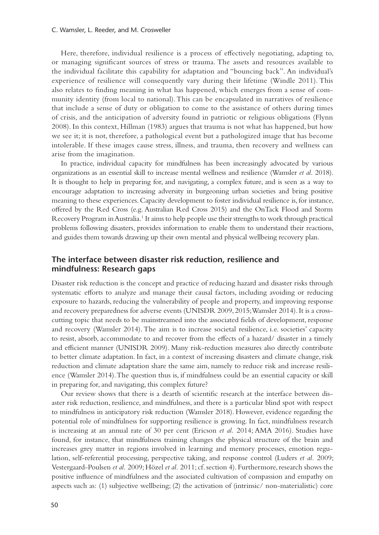Here, therefore, individual resilience is a process of effectively negotiating, adapting to, or managing significant sources of stress or trauma. The assets and resources available to the individual facilitate this capability for adaptation and "bouncing back". An individual's experience of resilience will consequently vary during their lifetime (Windle 2011). This also relates to finding meaning in what has happened, which emerges from a sense of community identity (from local to national). This can be encapsulated in narratives of resilience that include a sense of duty or obligation to come to the assistance of others during times of crisis, and the anticipation of adversity found in patriotic or religious obligations (Flynn 2008). In this context, Hillman (1983) argues that trauma is not what has happened, but how we see it; it is not, therefore, a pathological event but a pathologized image that has become intolerable. If these images cause stress, illness, and trauma, then recovery and wellness can arise from the imagination.

In practice, individual capacity for mindfulness has been increasingly advocated by various organizations as an essential skill to increase mental wellness and resilience (Wamsler *et al.* 2018). It is thought to help in preparing for, and navigating, a complex future, and is seen as a way to encourage adaptation to increasing adversity in burgeoning urban societies and bring positive meaning to these experiences. Capacity development to foster individual resilience is, for instance, offered by the Red Cross (e.g. Australian Red Cross 2015) and the OnTack Flood and Storm Recovery Program in Australia.<sup>1</sup> It aims to help people use their strengths to work through practical problems following disasters, provides information to enable them to understand their reactions, and guides them towards drawing up their own mental and physical wellbeing recovery plan.

# **The interface between disaster risk reduction, resilience and mindfulness: Research gaps**

Disaster risk reduction is the concept and practice of reducing hazard and disaster risks through systematic efforts to analyze and manage their causal factors, including avoiding or reducing exposure to hazards, reducing the vulnerability of people and property, and improving response and recovery preparedness for adverse events (UNISDR 2009, 2015; Wamsler 2014). It is a crosscutting topic that needs to be mainstreamed into the associated fields of development, response and recovery (Wamsler 2014). The aim is to increase societal resilience, i.e. societies' capacity to resist, absorb, accommodate to and recover from the effects of a hazard/ disaster in a timely and efficient manner (UNISDR 2009). Many risk-reduction measures also directly contribute to better climate adaptation. In fact, in a context of increasing disasters and climate change, risk reduction and climate adaptation share the same aim, namely to reduce risk and increase resilience (Wamsler 2014). The question thus is, if mindfulness could be an essential capacity or skill in preparing for, and navigating, this complex future?

Our review shows that there is a dearth of scientific research at the interface between disaster risk reduction, resilience, and mindfulness, and there is a particular blind spot with respect to mindfulness in anticipatory risk reduction (Wamsler 2018). However, evidence regarding the potential role of mindfulness for supporting resilience is growing. In fact, mindfulness research is increasing at an annual rate of 30 per cent (Ericson *et al.* 2014; AMA 2016). Studies have found, for instance, that mindfulness training changes the physical structure of the brain and increases grey matter in regions involved in learning and memory processes, emotion regulation, self-referential processing, perspective taking, and response control (Luders *et al.* 2009; Vestergaard-Poulsen *et al.* 2009; Hözel *et al.* 2011; cf. section 4). Furthermore, research shows the positive influence of mindfulness and the associated cultivation of compassion and empathy on aspects such as: (1) subjective wellbeing; (2) the activation of (intrinsic/ non-materialistic) core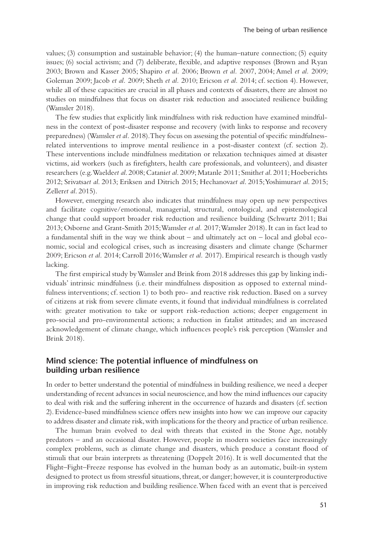values; (3) consumption and sustainable behavior; (4) the human–nature connection; (5) equity issues; (6) social activism; and (7) deliberate, flexible, and adaptive responses (Brown and Ryan 2003; Brown and Kasser 2005; Shapiro *et al.* 2006; Brown *et al.* 2007, 2004; Amel *et al.* 2009; Goleman 2009; Jacob *et al.* 2009; Sheth *et al.* 2010; Ericson *et al.* 2014; cf. section 4). However, while all of these capacities are crucial in all phases and contexts of disasters, there are almost no studies on mindfulness that focus on disaster risk reduction and associated resilience building (Wamsler 2018).

The few studies that explicitly link mindfulness with risk reduction have examined mindfulness in the context of post-disaster response and recovery (with links to response and recovery preparedness) (Wamsler *et al.* 2018). They focus on assessing the potential of specific mindfulnessrelated interventions to improve mental resilience in a post-disaster context (cf. section 2). These interventions include mindfulness meditation or relaxation techniques aimed at disaster victims, aid workers (such as firefighters, health care professionals, and volunteers), and disaster researchers (e.g. Waelde*et al*. 2008; Catani*et al*. 2009; Matanle 2011; Smith*et al*. 2011; Hoeberichts 2012; Srivatsa*et al*. 2013; Eriksen and Ditrich 2015; Hechanova*et al*. 2015; Yoshimura*et al*. 2015; Zeller*et al*. 2015).

However, emerging research also indicates that mindfulness may open up new perspectives and facilitate cognitive/emotional, managerial, structural, ontological, and epistemological change that could support broader risk reduction and resilience building (Schwartz 2011; Bai 2013; Osborne and Grant-Smith 2015; Wamsler *et al.* 2017; Wamsler 2018). It can in fact lead to a fundamental shift in the way we think about  $-$  and ultimately act on  $-$  local and global economic, social and ecological crises, such as increasing disasters and climate change (Scharmer 2009; Ericson *et al.* 2014; Carroll 2016; Wamsler *et al.* 2017). Empirical research is though vastly lacking.

The first empirical study by Wamsler and Brink from 2018 addresses this gap by linking individuals' intrinsic mindfulness (i.e. their mindfulness disposition as opposed to external mindfulness interventions; cf. section 1) to both pro- and reactive risk reduction. Based on a survey of citizens at risk from severe climate events, it found that individual mindfulness is correlated with: greater motivation to take or support risk-reduction actions; deeper engagement in pro-social and pro-environmental actions; a reduction in fatalist attitudes; and an increased acknowledgement of climate change, which influences people's risk perception (Wamsler and Brink 2018).

# **Mind science: The potential influence of mindfulness on building urban resilience**

In order to better understand the potential of mindfulness in building resilience, we need a deeper understanding of recent advances in social neuroscience, and how the mind influences our capacity to deal with risk and the suffering inherent in the occurrence of hazards and disasters (cf. section 2). Evidence-based mindfulness science offers new insights into how we can improve our capacity to address disaster and climate risk, with implications for the theory and practice of urban resilience.

The human brain evolved to deal with threats that existed in the Stone Age, notably predators – and an occasional disaster. However, people in modern societies face increasingly complex problems, such as climate change and disasters, which produce a constant flood of stimuli that our brain interprets as threatening (Doppelt 2016). It is well documented that the Flight–Fight–Freeze response has evolved in the human body as an automatic, built-in system designed to protect us from stressful situations, threat, or danger; however, it is counterproductive in improving risk reduction and building resilience. When faced with an event that is perceived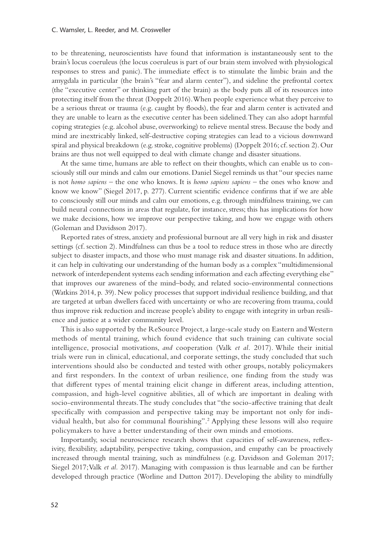to be threatening, neuroscientists have found that information is instantaneously sent to the brain's locus coeruleus (the locus coeruleus is part of our brain stem involved with physiological responses to stress and panic). The immediate effect is to stimulate the limbic brain and the amygdala in particular (the brain's "fear and alarm center"), and sideline the prefrontal cortex (the "executive center" or thinking part of the brain) as the body puts all of its resources into protecting itself from the threat (Doppelt 2016). When people experience what they perceive to be a serious threat or trauma (e.g. caught by floods), the fear and alarm center is activated and they are unable to learn as the executive center has been sidelined. They can also adopt harmful coping strategies (e.g. alcohol abuse, overworking) to relieve mental stress. Because the body and mind are inextricably linked, self-destructive coping strategies can lead to a vicious downward spiral and physical breakdown (e.g. stroke, cognitive problems) (Doppelt 2016; cf. section 2). Our brains are thus not well equipped to deal with climate change and disaster situations.

At the same time, humans are able to reflect on their thoughts, which can enable us to consciously still our minds and calm our emotions. Daniel Siegel reminds us that "our species name is not *homo sapiens* – the one who knows. It is *homo sapiens sapiens* – the ones who know and know we know" (Siegel 2017, p. 277). Current scientific evidence confirms that if we are able to consciously still our minds and calm our emotions, e.g. through mindfulness training, we can build neural connections in areas that regulate, for instance, stress; this has implications for how we make decisions, how we improve our perspective taking, and how we engage with others (Goleman and Davidsson 2017).

Reported rates of stress, anxiety and professional burnout are all very high in risk and disaster settings (cf. section 2). Mindfulness can thus be a tool to reduce stress in those who are directly subject to disaster impacts, and those who must manage risk and disaster situations. In addition, it can help in cultivating our understanding of the human body as a complex "multidimensional network of interdependent systems each sending information and each affecting everything else" that improves our awareness of the mind–body, and related socio-environmental connections (Watkins 2014, p. 39). New policy processes that support individual resilience building, and that are targeted at urban dwellers faced with uncertainty or who are recovering from trauma, could thus improve risk reduction and increase people's ability to engage with integrity in urban resilience and justice at a wider community level.

This is also supported by the ReSource Project, a large-scale study on Eastern and Western methods of mental training, which found evidence that such training can cultivate social intelligence, prosocial motivations, *and* cooperation (Valk *et al.* 2017). While their initial trials were run in clinical, educational, and corporate settings, the study concluded that such interventions should also be conducted and tested with other groups, notably policymakers and first responders. In the context of urban resilience, one finding from the study was that different types of mental training elicit change in different areas, including attention, compassion, and high-level cognitive abilities, all of which are important in dealing with socio-environmental threats. The study concludes that "the socio-affective training that dealt specifically with compassion and perspective taking may be important not only for individual health, but also for communal flourishing".2 Applying these lessons will also require policymakers to have a better understanding of their own minds and emotions.

Importantly, social neuroscience research shows that capacities of self-awareness, reflexivity, flexibility, adaptability, perspective taking, compassion, and empathy can be proactively increased through mental training, such as mindfulness (e.g. Davidsson and Goleman 2017; Siegel 2017; Valk *et al.* 2017). Managing with compassion is thus learnable and can be further developed through practice (Worline and Dutton 2017). Developing the ability to mindfully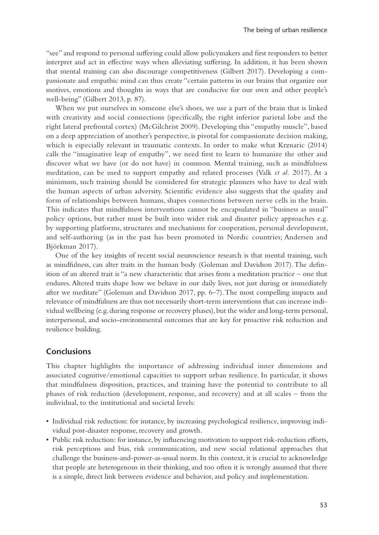"see" and respond to personal suffering could allow policymakers and first responders to better interpret and act in effective ways when alleviating suffering. In addition, it has been shown that mental training can also discourage competitiveness (Gilbert 2017). Developing a compassionate and empathic mind can thus create "certain patterns in our brains that organize our motives, emotions and thoughts in ways that are conducive for our own and other people's well-being" (Gilbert 2013, p. 87).

When we put ourselves in someone else's shoes, we use a part of the brain that is linked with creativity and social connections (specifically, the right inferior parietal lobe and the right lateral prefrontal cortex) (McGilchrist 2009). Developing this "empathy muscle", based on a deep appreciation of another's perspective, is pivotal for compassionate decision making, which is especially relevant in traumatic contexts. In order to make what Krznaric (2014) calls the "imaginative leap of empathy", we need first to learn to humanize the other and discover what we have (or do not have) in common. Mental training, such as mindfulness meditation, can be used to support empathy and related processes (Valk *et al.* 2017). At a minimum, such training should be considered for strategic planners who have to deal with the human aspects of urban adversity. Scientific evidence also suggests that the quality and form of relationships between humans, shapes connections between nerve cells in the brain. This indicates that mindfulness interventions cannot be encapsulated in "business as usual" policy options, but rather must be built into wider risk and disaster policy approaches e.g. by supporting platforms, structures and mechanisms for cooperation, personal development, and self-authoring (as in the past has been promoted in Nordic countries; Andersen and Björkman 2017).

One of the key insights of recent social neuroscience research is that mental training, such as mindfulness, can alter traits in the human body (Goleman and Davidson 2017). The definition of an altered trait is "a new characteristic that arises from a meditation practice – one that endures. Altered traits shape how we behave in our daily lives, not just during or immediately after we meditate" (Goleman and Davidson 2017, pp. 6–7). The most compelling impacts and relevance of mindfulness are thus not necessarily short-term interventions that can increase individual wellbeing (e.g. during response or recovery phases), but the wider and long-term personal, interpersonal, and socio-environmental outcomes that are key for proactive risk reduction and resilience building.

#### **Conclusions**

This chapter highlights the importance of addressing individual inner dimensions and associated cognitive/emotional capacities to support urban resilience. In particular, it shows that mindfulness disposition, practices, and training have the potential to contribute to all phases of risk reduction (development, response, and recovery) and at all scales – from the individual, to the institutional and societal levels:

- Individual risk reduction: for instance, by increasing psychological resilience, improving individual post-disaster response, recovery and growth.
- Public risk reduction: for instance, by influencing motivation to support risk-reduction efforts, risk perceptions and bias, risk communication, and new social relational approaches that challenge the business-and-power-as-usual norm. In this context, it is crucial to acknowledge that people are heterogenous in their thinking, and too often it is wrongly assumed that there is a simple, direct link between evidence and behavior, and policy and implementation.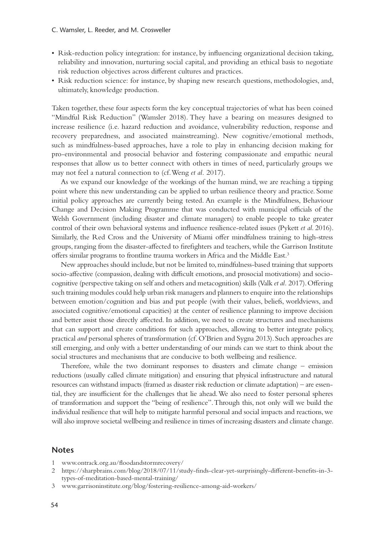- Risk-reduction policy integration: for instance, by influencing organizational decision taking, reliability and innovation, nurturing social capital, and providing an ethical basis to negotiate risk reduction objectives across different cultures and practices.
- Risk reduction science: for instance, by shaping new research questions, methodologies, and, ultimately, knowledge production.

Taken together, these four aspects form the key conceptual trajectories of what has been coined "Mindful Risk Reduction" (Wamsler 2018). They have a bearing on measures designed to increase resilience (i.e. hazard reduction and avoidance, vulnerability reduction, response and recovery preparedness, and associated mainstreaming). New cognitive/emotional methods, such as mindfulness-based approaches, have a role to play in enhancing decision making for pro-environmental and prosocial behavior and fostering compassionate and empathic neural responses that allow us to better connect with others in times of need, particularly groups we may not feel a natural connection to (cf. Weng *et al.* 2017).

As we expand our knowledge of the workings of the human mind, we are reaching a tipping point where this new understanding can be applied to urban resilience theory and practice. Some initial policy approaches are currently being tested. An example is the Mindfulness, Behaviour Change and Decision Making Programme that was conducted with municipal officials of the Welsh Government (including disaster and climate managers) to enable people to take greater control of their own behavioral systems and influence resilience-related issues (Pykett *et al*. 2016). Similarly, the Red Cross and the University of Miami offer mindfulness training to high-stress groups, ranging from the disaster-affected to firefighters and teachers, while the Garrison Institute offers similar programs to frontline trauma workers in Africa and the Middle East.3

New approaches should include, but not be limited to, mindfulness-based training that supports socio-affective (compassion, dealing with difficult emotions, and prosocial motivations) and sociocognitive (perspective taking on self and others and metacognition) skills (Valk *et al.* 2017). Offering such training modules could help urban risk managers and planners to enquire into the relationships between emotion/cognition and bias and put people (with their values, beliefs, worldviews, and associated cognitive/emotional capacities) at the center of resilience planning to improve decision and better assist those directly affected. In addition, we need to create structures and mechanisms that can support and create conditions for such approaches, allowing to better integrate policy, practical *and* personal spheres of transformation (cf. O'Brien and Sygna 2013). Such approaches are still emerging, and only with a better understanding of our minds can we start to think about the social structures and mechanisms that are conducive to both wellbeing and resilience.

Therefore, while the two dominant responses to disasters and climate change – emission reductions (usually called climate mitigation) and ensuring that physical infrastructure and natural resources can withstand impacts (framed as disaster risk reduction or climate adaptation) – are essential, they are insufficient for the challenges that lie ahead. We also need to foster personal spheres of transformation and support the "being of resilience". Through this, not only will we build the individual resilience that will help to mitigate harmful personal and social impacts and reactions, we will also improve societal wellbeing and resilience in times of increasing disasters and climate change.

#### **Notes**

- 1 [www.ontrack.org.au/floodandstormrecovery/](http://www.ontrack.org.au)
- 2 [https://sharpbrains.com/blog/2018/07/11/study-finds-clear-yet-surprisingly-different-benefits-in-3](https://sharpbrains.com) [types-of-meditation-based-mental-training/](https://sharpbrains.com)
- 3 [www.garrisoninstitute.org/blog/fostering-resilience-among-aid-workers/](http://www.garrisoninstitute.org)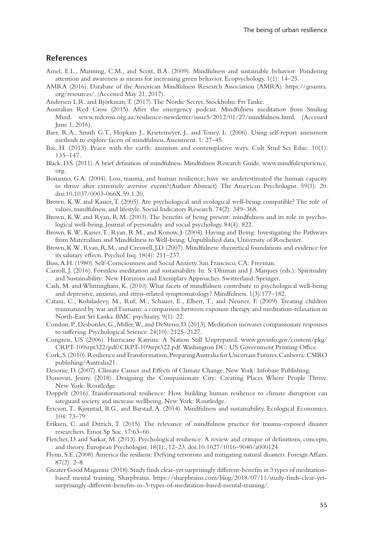#### **References**

- Amel, E.L., Manning, C.M., and Scott, B.A. (2009). Mindfulness and sustainable behavior: Pondering attention and awareness as means for increasing green behavior. Ecopsychology. 1(1): 14–25.
- AMRA (2016). Database of the American Mindfulness Research Association (AMRA). [https://goamra.](https://goamra.org) [org/resources/.](https://goamra.org) (Accessed May 21, 2017).
- Andersen L.R. and Björkman, T. (2017). The Nordic Secret. Stockholm: FriTanke.
- Australian Red Cross (2015). After the emergency podcast. Mindfulness meditation from Smiling Mind. www.redcross.org.au/resilience-newsletter/issue5/2012/01/27/mindfulness.html. (Accessed June 1, 2016).
- Baer, R.A., Smith G.T., Hopkins J., Krietemeyer, J., and Toney, L. (2006). Using self-report assessment methods to explore facets of mindfulness, Assessment. 1: 27–45.
- Bai, H. (2013). Peace with the earth: animism and contemplative ways. Cult Stud Sci Educ. 10(1): 135–147.
- Black, D.S. (2011). A brief definition of mindfulness. Mindfulness Research Guide. [www.mindfulexperience.](http://www.mindfulexperience.org.) [org.](http://www.mindfulexperience.org.)
- Bonanno, G.A. (2004). Loss, trauma, and human resilience; have we underestimated the human capacity to thrive after extremely aversive events?(Author Abstract). The American Psychologist. 59(1): 20. doi:10.1037/0003-066X.59.1.20.
- Brown, K.W. and Kasser, T. (2005). Are psychological and ecological well-being compatible? The role of values, mindfulness, and lifestyle. Social Indicators Research. 74(2): 349–368.
- Brown, K.W. and Ryan, R.M. (2003). The benefits of being present: mindfulness and its role in psychological well-being. Journal of personality and social psychology. 84(4): 822.
- Brown, K.W., Kasser, T., Ryan, R.M., and Konow, J. (2004). Having and Being: Investigating the Pathways from Materialism and Mindfulness to Well-being. Unpublished data, University of Rochester.
- Brown, K.W., Ryan, R.M., and Creswell, J.D. (2007). Mindfulness: theoretical foundations and evidence for its salutary effects. Psychol Inq. 18(4): 211–237.
- Buss, A.H. (1980). Self-Consciousness and Social Anxiety. San Francisco, CA: Freeman.
- Carroll, J. (2016). Formless meditation and sustainability. In: S. Dhiman and J. Marques (eds.): Spirituality and Sustainability: New Horizons and Exemplary Approaches. Switzerland: Springer.
- Cash, M. and Whittingham, K. (2010). What facets of mindfulness contribute to psychological well-being and depressive, anxious, and stress-related symptomatology? Mindfulness. 1(3):177–182.
- Catani, C., Kohiladevy, M., Ruf, M., Schauer, E., Elbert, T., and Neuner, F. (2009). Treating children traumatized by war and Tsunami: a comparison between exposure therapy and meditation-relaxation in North-East Sri Lanka. BMC psychiatry. 9(1): 22.
- Condon, P., Desbordes, G., Miller, W., and DeSteno, D. (2013). Meditation increases compassionate responses to suffering. Psychological Science. 24(10): 2125–2127.
- Congress, US (2006). Hurricane Katrina: A Nation Still Unprepared. [www.govinfo.gov/content/pkg/](http://www.govinfo.gov) [CRPT-109srpt322/pdf/CRPT-109srpt322.pdf.](http://www.govinfo.gov) Washington DC: US Government Printing Office.
- Cork, S. (2010). Resilience and Transformation, Preparing Australia for Uncertain Futures. Canberra: CSIRO publishing/Australia21.
- Desonie, D. (2007). Climate Causes and Effects of Climate Change. New York: Infobase Publishing.
- Donovan, Jenny. (2018). Designing the Compassionate City: Creating Places Where People Thrive. New York: Routledge.
- Doppelt (2016). Transformational resilience: How building human resilience to climate disruption can sateguard society and increase wellbeing. New York: Routledge.
- Ericson, T., Kjønstad, B.G., and Barstad, A. (2014). Mindfulness and sustainability. Ecological Economics. 104: 73–79.
- Eriksen, C. and Ditrich, T. (2015). The relevance of mindfulness practice for trauma-exposed disaster researchers. Emot Sp Soc. 17:63–66.
- Fletcher, D. and Sarkar, M. (2013). Psychological resilience: A review and critique of definitions, concepts, and theory. European Psychologist. 18(1):, 12–23. doi:10.1027/1016–9040/a000124
- Flynn, S.E. (2008). America the resilient: Defying terrorism and mitigating natural disasters. Foreign Affairs. 87(2): 2–8.
- Greater Good Magazine (2018). Study finds clear-yet surprisingly different-benefits in 3 types of meditationbased mental training. Sharpbrains. [https://sharpbrains.com/blog/2018/07/11/study-finds-clear-yet](https://sharpbrains.com)[surprisingly-different-benefits-in-3-types-of-meditation-based-mental-training/.](https://sharpbrains.com)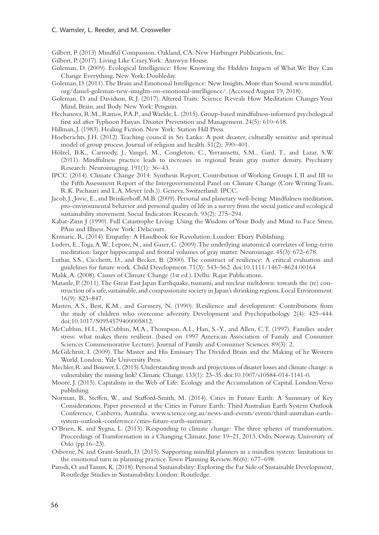Gilbert, P. (2013) Mindful Compassion. Oakland, CA: New Harbinger Publications, Inc.

- Gilbert, P. (2017). Living Like Crazy. York: Annwyn House.
- Goleman, D. (2009). Ecological Intelligence: How Knowing the Hidden Impacts of What We Buy Can Change Everything. New York: Doubleday.
- Goleman, D. (2011). The Brain and Emotional Intelligence: New Insights. More than Sound. [www.mindful.](http://www.mindful.org) [org/daniel-goleman-new-insights-on-emotional-intelligence/.](http://www.mindful.org) (Accessed August 19, 2018).
- Goleman, D. and Davidson, R.J. (2017). Altered Traits: Science Reveals How Meditation Changes Your Mind, Brain, and Body. New York: Penguin.
- Hechanova, R.M., Ramos, P.A.P., and Waelde, L. (2015). Group-based mindfulness-informed psychological first aid after Typhoon Haiyan. Disaster Prevention and Management. 24(5): 610–618.
- Hillman, J. (1983). Healing Fiction. New York: Station Hill Press.
- Hoeberichts, J.H. (2012). Teaching council in Sri Lanka: A post disaster, culturally sensitive and spiritual model of group process. Journal of religion and health. 51(2): 390–401.
- Hölzel, B.K., Carmody, J., Vangel, M., Congleton, C., Yerramsetti, S.M., Gard, T., and Lazar, S.W. (2011). Mindfulness practice leads to increases in regional brain gray matter density. Psychiatry Research: Neuroimaging. 191(1): 36–43.
- IPCC (2014). Climate Change 2014: Synthesis Report. Contribution of Working Groups I, II and III to the Fifth Assessment Report of the Intergovernmental Panel on Climate Change (Core Writing Team, R.K. Pachauri and L.A. Meyer (eds.)). Geneva, Switzerland: IPCC.
- Jacob, J., Jovic, E., and Brinkerhoff, M.B. (2009). Personal and planetary well-being: Mindfulness meditation, pro-environmental behavior and personal quality of life in a survey from the social justice and ecological sustainability movement. Social Indicators Research. 93(2): 275–294.
- Kabat-Zinn J (1990). Full Catastrophe Living: Using the Wisdom of Your Body and Mind to Face Stress, PAin and Illness. New York: Delacourt.
- Krznaric, R. (2014). Empathy: A Handbook for Revolution. London: Ebury Publishing.
- Luders, E., Toga, A.W., Lepore, N., and Gaser, C. (2009). The underlying anatomical correlates of long-term meditation: larger hippocampal and frontal volumes of gray matter. Neuroimage. 45(3): 672–678.
- Luthar, S.S., Cicchetti, D., and Becker, B. (2000). The construct of resilience: A critical evaluation and guidelines for future work. Child Development. 71(3): 543–562. doi:10.1111/1467–8624.00164
- Malik, A. (2008). Causes of Climate Change (1st ed.). Delhi: Rajat Publications.
- Matanle, P. (2011). The Great East Japan Earthquake, tsunami, and nuclear meltdown: towards the (re) construction of a safe, sustainable, and compassionate society in Japan's shrinking regions. Local Environment. 16(9): 823–847.
- Masten, A.S., Best, K.M., and Garmezy, N. (1990). Resilience and development: Contributions from the study of children who overcome adversity. Development and Psychopathology. 2(4): 425–444. doi:10.1017/S0954579400005812.
- McCubbin, H.I., McCubbin, M.A., Thompson, A.I., Han, S.-Y., and Allen, C.T. (1997). Families under stress: what makes them resilient. (based on 1997 American Association of Family and Consumer Sciences Commemorative Lecture). Journal of Family and Consumer Sciences. 89(3): 2.
- McGilchrist, I. (2009). The Master and His Emissary The Divided Brain and the Making of he Western World. London: Yale University Press.
- Mechler, R. and Bouwer, L. (2015). Understanding trends and projections of disaster losses and climate change: is vulnerability the missing link? Climatic Change. 133(1): 23–35. doi:10.1007/s10584-014-1141-0.
- Moore, J. (2015). Capitalism in the Web of Life: Ecology and the Accumulation of Capital. London: Verso publishing.
- Norman, B., Steffen, W., and Stafford-Smith, M. (2014). Cities in Future Earth: A Summary of Key Considerations. Paper presented at the Cities in Future Earth: Third Australian Earth System Outlook Conference, Canberra, Australia. [www.science.org.au/news-and-events/events/third-australian-earth](http://www.science.org.au)[system-outlook-conference/cities-future-earth-summary.](http://www.science.org.au)
- O'Brien, K. and Sygna, L. (2013). Responding to climate change: The three spheres of transformation. Proceedings of Transformation in a Changing Climate, June 19–21, 2013, Oslo, Norway. University of Oslo (pp.16–23).
- Osborne, N. and Grant-Smith, D. (2015). Supporting mindful planners in a mindless system: limitations to the emotional turn in planning practice. Town Planning Review. 86(6): 677–698.
- Parodi, O. and Tamm, K. (2018). Personal Sustainability: Exploring the Far Side of Sustainable Development, Routledge Studies in Sustainability. London: Routledge.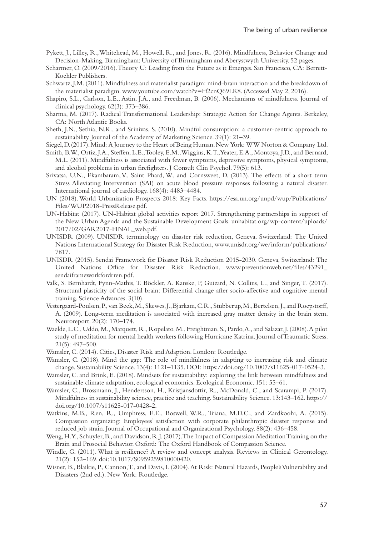- Pykett, J., Lilley, R., Whitehead, M., Howell, R., and Jones, R. (2016). Mindfulness, Behavior Change and Decision-Making, Birmingham: University of Birmingham and Aberystwyth University. 52 pages.
- Scharmer, O. (2009/2016). Theory U: Leading from the Future as it Emerges. San Francisco, CA: Berrett-Koehler Publishers.
- Schwartz, J.M. (2011). Mindfulness and materialist paradigm: mind-brain interaction and the breakdown of the materialist paradigm. [www.youtube.com/watch?v=Ff2cnQ69LK8](http://www.youtube.com). (Accessed May 2, 2016).
- Shapiro, S.L., Carlson, L.E., Astin, J.A., and Freedman, B. (2006). Mechanisms of mindfulness. Journal of clinical psychology. 62(3): 373–386.
- Sharma, M. (2017). Radical Transformational Leadership: Strategic Action for Change Agents. Berkeley, CA: North Atlantic Books.
- Sheth, J.N., Sethia, N.K., and Srinivas, S. (2010). Mindful consumption: a customer-centric approach to sustainability. Journal of the Academy of Marketing Science. 39(1): 21–39.
- Siegel, D. (2017). Mind: A Journey to the Heart of Being Human. New York: W W Norton & Company Ltd.
- Smith, B.W., Ortiz, J.A., Steffen, L.E., Tooley, E.M., Wiggins, K.T., Yeater, E.A., Montoya, J.D., and Bernard, M.L. (2011). Mindfulness is associated with fewer symptoms, depressive symptoms, physical symptoms, and alcohol problems in urban firefighters. J Consult Clin Psychol. 79(5): 613.
- Srivatsa, U.N., Ekambaram, V., Saint Phard, W., and Cornsweet, D. (2013). The effects of a short term Stress Alleviating Intervention (SAI) on acute blood pressure responses following a natural disaster. International journal of cardiology. 168(4): 4483–4484.
- UN (2018). World Urbanization Prospects 2018: Key Facts. [https://esa.un.org/unpd/wup/Publications/](https://esa.un.org) [Files/WUP2018-PressRelease.pdf.](https://esa.un.org)
- UN-Habitat (2017). UN-Habitat global activities report 2017. Strengthening partnerships in support of the New Urban Agenda and the Sustainable Development Goals. unhabitat.org/wp-content/uploads/ 2017/02/GAR2017-FINAL\_web.pdf.
- UNISDR (2009). UNISDR terminology on disaster risk reduction, Geneva, Switzerland: The United Nations International Strategy for Disaster Risk Reduction, [www.unisdr.org/we/inform/publications/](http://www.unisdr.org) [7817](http://www.unisdr.org).
- UNISDR (2015). Sendai Framework for Disaster Risk Reduction 2015-2030. Geneva, Switzerland: The United Nations Office for Disaster Risk Reduction. [www.preventionweb.net/files/43291\\_](http://www.preventionweb.net) [sendaiframeworkfordrren.pdf.](http://www.preventionweb.net)
- Valk, S. Bernhardt, Fynn-Mathis, T. Böckler, A. Kanske, P, Guizard, N. Collins, L., and Singer, T. (2017). Structural plasticity of the social brain: Differential change after socio-affective and cognitive mental training. Science Advances. 3(10).
- Vestergaard-Poulsen, P., van Beek, M., Skewes, J., Bjarkam, C.R., Stubberup, M., Bertelsen, J., and Roepstorff, A. (2009). Long-term meditation is associated with increased gray matter density in the brain stem. Neuroreport. 20(2): 170–174.
- Waelde, L.C., Uddo, M., Marquett, R., Ropelato, M., Freightman, S., Pardo, A., and Salazar, J. (2008). A pilot study of meditation for mental health workers following Hurricane Katrina. Journal of Traumatic Stress. 21(5): 497–500.
- Wamsler, C. (2014). Cities, Disaster Risk and Adaption. London: Routledge.
- Wamsler, C. (2018). Mind the gap: The role of mindfulness in adapting to increasing risk and climate change. Sustainability Science. 13(4): 1121–1135. DOI: [https://doi.org/10.1007/s11625-017-0524-3.](https://doi.org)
- Wamsler, C. and Brink, E. (2018). Mindsets for sustainability: exploring the link between mindfulness and sustainable climate adaptation, ecological economics. Ecological Economic. 151: 55–61.
- Wamsler, C., Brossmann, J., Hendersson, H., Kristjansdottir, R., McDonald, C., and Scarampi, P. (2017). Mindfulness in sustainability science, practice and teaching. Sustainability Science. 13:143–162. [https://](https://doi.org) [doi.org/10.1007/s11625-017-0428-2.](https://doi.org)
- Watkins, M.B., Ren, R., Umphress, E.E., Boswell, W.R., Triana, M.D.C., and Zardkoohi, A. (2015). Compassion organizing: Employees' satisfaction with corporate philanthropic disaster response and reduced job strain. Journal of Occupational and Organizational Psychology. 88(2): 436–458.
- Weng, H.Y., Schuyler, B., and Davidson, R.J. (2017). The Impact of Compassion Meditation Training on the Brain and Prosocial Behavior. Oxford: The Oxford Handbook of Compassion Science.
- Windle, G. (2011). What is resilience? A review and concept analysis. Reviews in Clinical Gerontology. 21(2): 152–169. doi:10.1017/S0959259810000420.
- Wisner, B., Blaikie, P., Cannon, T., and Davis, I. (2004). At Risk: Natural Hazards, People's Vulnerability and Disasters (2nd ed.). New York: Routledge.